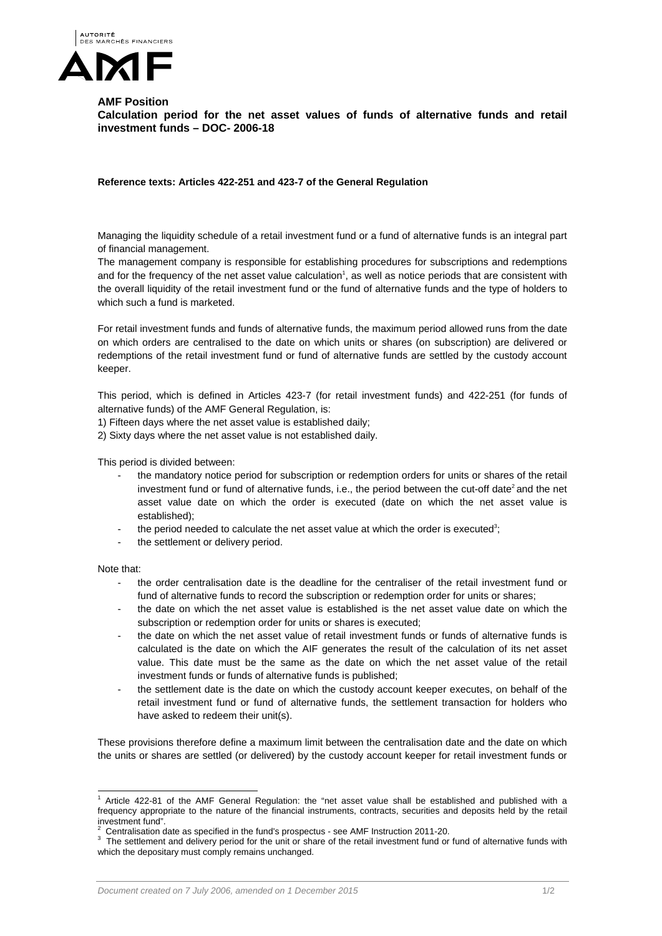

**AMF Position Calculation period for the net asset values of funds of alternative funds and retail investment funds – DOC- 2006-18** 

**Reference texts: Articles 422-251 and 423-7 of the General Regulation** 

Managing the liquidity schedule of a retail investment fund or a fund of alternative funds is an integral part of financial management.

The management company is responsible for establishing procedures for subscriptions and redemptions and for the frequency of the net asset value calculation<sup>1</sup>, as well as notice periods that are consistent with the overall liquidity of the retail investment fund or the fund of alternative funds and the type of holders to which such a fund is marketed.

For retail investment funds and funds of alternative funds, the maximum period allowed runs from the date on which orders are centralised to the date on which units or shares (on subscription) are delivered or redemptions of the retail investment fund or fund of alternative funds are settled by the custody account keeper.

This period, which is defined in Articles 423-7 (for retail investment funds) and 422-251 (for funds of alternative funds) of the AMF General Regulation, is:

- 1) Fifteen days where the net asset value is established daily;
- 2) Sixty days where the net asset value is not established daily.

This period is divided between:

- the mandatory notice period for subscription or redemption orders for units or shares of the retail investment fund or fund of alternative funds, i.e., the period between the cut-off date<sup>2</sup> and the net asset value date on which the order is executed (date on which the net asset value is established);
- the period needed to calculate the net asset value at which the order is executed<sup>3</sup>;
- the settlement or delivery period.

Note that:

- the order centralisation date is the deadline for the centraliser of the retail investment fund or fund of alternative funds to record the subscription or redemption order for units or shares;
- the date on which the net asset value is established is the net asset value date on which the subscription or redemption order for units or shares is executed;
- the date on which the net asset value of retail investment funds or funds of alternative funds is calculated is the date on which the AIF generates the result of the calculation of its net asset value. This date must be the same as the date on which the net asset value of the retail investment funds or funds of alternative funds is published;
- the settlement date is the date on which the custody account keeper executes, on behalf of the retail investment fund or fund of alternative funds, the settlement transaction for holders who have asked to redeem their unit(s).

These provisions therefore define a maximum limit between the centralisation date and the date on which the units or shares are settled (or delivered) by the custody account keeper for retail investment funds or

 $\overline{a}$ 1 Article 422-81 of the AMF General Regulation: the "net asset value shall be established and published with a frequency appropriate to the nature of the financial instruments, contracts, securities and deposits held by the retail investment fund".

<sup>2</sup> Centralisation date as specified in the fund's prospectus - see AMF Instruction 2011-20. 3

<sup>&</sup>lt;sup>3</sup> The settlement and delivery period for the unit or share of the retail investment fund or fund of alternative funds with which the depositary must comply remains unchanged.